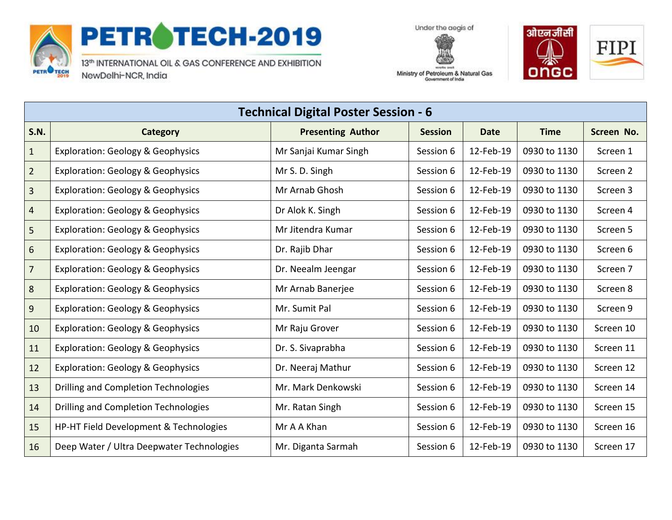

## PETROTECH-2019

13th INTERNATIONAL OIL & GAS CONFERENCE AND EXHIBITION NewDelhi-NCR, India





| --------<br>Ministry of Petroleum & Natural Gas<br>Government of India |
|------------------------------------------------------------------------|
|                                                                        |

| <b>Technical Digital Poster Session - 6</b> |                                              |                          |                |             |              |            |
|---------------------------------------------|----------------------------------------------|--------------------------|----------------|-------------|--------------|------------|
| <b>S.N.</b>                                 | <b>Category</b>                              | <b>Presenting Author</b> | <b>Session</b> | <b>Date</b> | <b>Time</b>  | Screen No. |
| $\mathbf{1}$                                | <b>Exploration: Geology &amp; Geophysics</b> | Mr Sanjai Kumar Singh    | Session 6      | 12-Feb-19   | 0930 to 1130 | Screen 1   |
| $\overline{2}$                              | <b>Exploration: Geology &amp; Geophysics</b> | Mr S. D. Singh           | Session 6      | 12-Feb-19   | 0930 to 1130 | Screen 2   |
| $\overline{3}$                              | <b>Exploration: Geology &amp; Geophysics</b> | Mr Arnab Ghosh           | Session 6      | 12-Feb-19   | 0930 to 1130 | Screen 3   |
| $\overline{4}$                              | <b>Exploration: Geology &amp; Geophysics</b> | Dr Alok K. Singh         | Session 6      | 12-Feb-19   | 0930 to 1130 | Screen 4   |
| 5                                           | <b>Exploration: Geology &amp; Geophysics</b> | Mr Jitendra Kumar        | Session 6      | 12-Feb-19   | 0930 to 1130 | Screen 5   |
| 6                                           | <b>Exploration: Geology &amp; Geophysics</b> | Dr. Rajib Dhar           | Session 6      | 12-Feb-19   | 0930 to 1130 | Screen 6   |
| $\overline{7}$                              | <b>Exploration: Geology &amp; Geophysics</b> | Dr. Neealm Jeengar       | Session 6      | 12-Feb-19   | 0930 to 1130 | Screen 7   |
| 8                                           | <b>Exploration: Geology &amp; Geophysics</b> | Mr Arnab Banerjee        | Session 6      | 12-Feb-19   | 0930 to 1130 | Screen 8   |
| 9                                           | <b>Exploration: Geology &amp; Geophysics</b> | Mr. Sumit Pal            | Session 6      | 12-Feb-19   | 0930 to 1130 | Screen 9   |
| 10                                          | <b>Exploration: Geology &amp; Geophysics</b> | Mr Raju Grover           | Session 6      | 12-Feb-19   | 0930 to 1130 | Screen 10  |
| 11                                          | <b>Exploration: Geology &amp; Geophysics</b> | Dr. S. Sivaprabha        | Session 6      | 12-Feb-19   | 0930 to 1130 | Screen 11  |
| 12                                          | <b>Exploration: Geology &amp; Geophysics</b> | Dr. Neeraj Mathur        | Session 6      | 12-Feb-19   | 0930 to 1130 | Screen 12  |
| 13                                          | Drilling and Completion Technologies         | Mr. Mark Denkowski       | Session 6      | 12-Feb-19   | 0930 to 1130 | Screen 14  |
| 14                                          | Drilling and Completion Technologies         | Mr. Ratan Singh          | Session 6      | 12-Feb-19   | 0930 to 1130 | Screen 15  |
| 15                                          | HP-HT Field Development & Technologies       | Mr A A Khan              | Session 6      | 12-Feb-19   | 0930 to 1130 | Screen 16  |
| 16                                          | Deep Water / Ultra Deepwater Technologies    | Mr. Diganta Sarmah       | Session 6      | 12-Feb-19   | 0930 to 1130 | Screen 17  |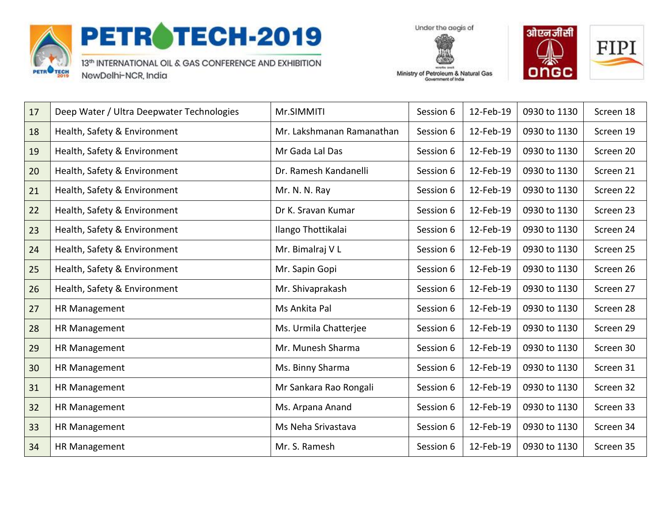

## PETROTECH-2019

13th INTERNATIONAL OIL & GAS CONFERENCE AND EXHIBITION NewDelhi-NCR, India

Under the aegis of



Ministry of Petroleum & Natural Gas Government of India

| 17 | Deep Water / Ultra Deepwater Technologies | Mr.SIMMITI                | Session 6 | 12-Feb-19 | 0930 to 1130 | Screen 18 |
|----|-------------------------------------------|---------------------------|-----------|-----------|--------------|-----------|
| 18 | Health, Safety & Environment              | Mr. Lakshmanan Ramanathan | Session 6 | 12-Feb-19 | 0930 to 1130 | Screen 19 |
| 19 | Health, Safety & Environment              | Mr Gada Lal Das           | Session 6 | 12-Feb-19 | 0930 to 1130 | Screen 20 |
| 20 | Health, Safety & Environment              | Dr. Ramesh Kandanelli     | Session 6 | 12-Feb-19 | 0930 to 1130 | Screen 21 |
| 21 | Health, Safety & Environment              | Mr. N. N. Ray             | Session 6 | 12-Feb-19 | 0930 to 1130 | Screen 22 |
| 22 | Health, Safety & Environment              | Dr K. Sravan Kumar        | Session 6 | 12-Feb-19 | 0930 to 1130 | Screen 23 |
| 23 | Health, Safety & Environment              | Ilango Thottikalai        | Session 6 | 12-Feb-19 | 0930 to 1130 | Screen 24 |
| 24 | Health, Safety & Environment              | Mr. Bimalraj VL           | Session 6 | 12-Feb-19 | 0930 to 1130 | Screen 25 |
| 25 | Health, Safety & Environment              | Mr. Sapin Gopi            | Session 6 | 12-Feb-19 | 0930 to 1130 | Screen 26 |
| 26 | Health, Safety & Environment              | Mr. Shivaprakash          | Session 6 | 12-Feb-19 | 0930 to 1130 | Screen 27 |
| 27 | HR Management                             | Ms Ankita Pal             | Session 6 | 12-Feb-19 | 0930 to 1130 | Screen 28 |
| 28 | HR Management                             | Ms. Urmila Chatterjee     | Session 6 | 12-Feb-19 | 0930 to 1130 | Screen 29 |
| 29 | HR Management                             | Mr. Munesh Sharma         | Session 6 | 12-Feb-19 | 0930 to 1130 | Screen 30 |
| 30 | HR Management                             | Ms. Binny Sharma          | Session 6 | 12-Feb-19 | 0930 to 1130 | Screen 31 |
| 31 | HR Management                             | Mr Sankara Rao Rongali    | Session 6 | 12-Feb-19 | 0930 to 1130 | Screen 32 |
| 32 | HR Management                             | Ms. Arpana Anand          | Session 6 | 12-Feb-19 | 0930 to 1130 | Screen 33 |
| 33 | HR Management                             | Ms Neha Srivastava        | Session 6 | 12-Feb-19 | 0930 to 1130 | Screen 34 |
| 34 | HR Management                             | Mr. S. Ramesh             | Session 6 | 12-Feb-19 | 0930 to 1130 | Screen 35 |